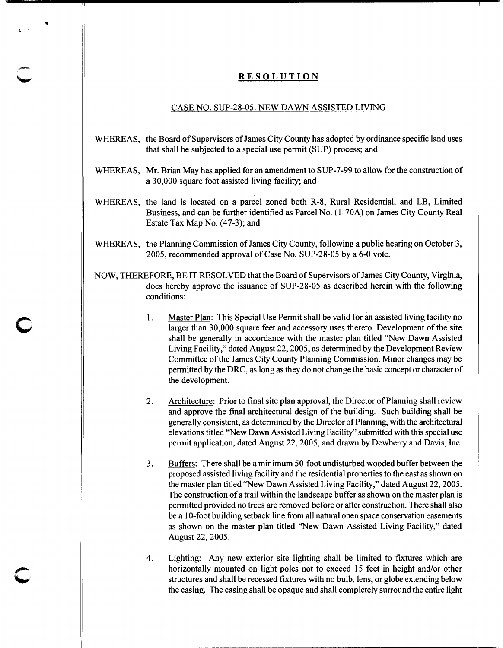## **RESOLUTION**

"

c

## CASE NO. SUP-28-05. NEW DAWN ASSISTED LIVING

- WHEREAS, the Board of Supervisors of James City County has adopted by ordinance specific land uses that shall be subjected to a special use permit (SUP) process; and
- WHEREAS, Mr. Brian May has applied for an amendment to SUP-7 -99 to allow for the construction of a 30,000 square foot assisted living facility; and
- WHEREAS, the land is located on a parcel zoned both R-8, Rural Residential, and LB, Limited Business, and can be further identified as Parcel No. (1-70A) on James City County Real Estate Tax Map No. (47-3); and
- WHEREAS, the Planning Commission of James City County, following a public hearing on October 3, 2005, recommended approval of Case No. SUP-28-05 by a 6-0 vote.
- NOW, THEREFORE, BE IT RESOLVED that the Board of Supervisors of James City County, Virginia, does hereby approve the issuance of SUP-28-05 as described herein with the following conditions:
	- 1. Master Plan: This Special Use Permit shall be valid for an assisted living facility no larger than 30,000 square feet and accessory uses thereto. Development of the site shall be generally in accordance with the master plan titled "New Dawn Assisted Living Facility," dated August 22, 2005, as determined by the Development Review Committee of the James City County Planning Commission. Minor changes may be permitted by the DRC, as long as they do not change the basic concept or character of the development.
	- 2. Architecture: Prior to final site plan approval, the Director of Planning shall review and approve the final architectural design of the building. Such building shall be generally consistent, as determined by the Director of Planning, with the architectural elevations titled "New Dawn Assisted Living Facility" submitted with this special use permit application, dated August 22, 2005, and drawn by Dewberry and Davis, Inc.
	- 3. Buffers: There shall be a minimum 50-foot undisturbed wooded buffer between the proposed assisted living facility and the residential properties to the east as shown on the master plan titled "New Dawn Assisted Living Facility," dated August 22, 2005. The construction of a trail within the landscape buffer as shown on the master plan is permitted provided no trees are removed before or after construction. There shall also be a I 0-foot building setback line from all natural open space conservation easements as shown on the master plan titled "New Dawn Assisted Living Facility," dated August 22, 2005.
	- 4. Lighting: Any new exterior site lighting shall be limited to fixtures which are horizontally mounted on light poles not to exceed 15 feet in height and/or other structures and shall be recessed fixtures with no bulb, lens, or globe extending below the casing. The casing shall be opaque and shall completely surround the entire light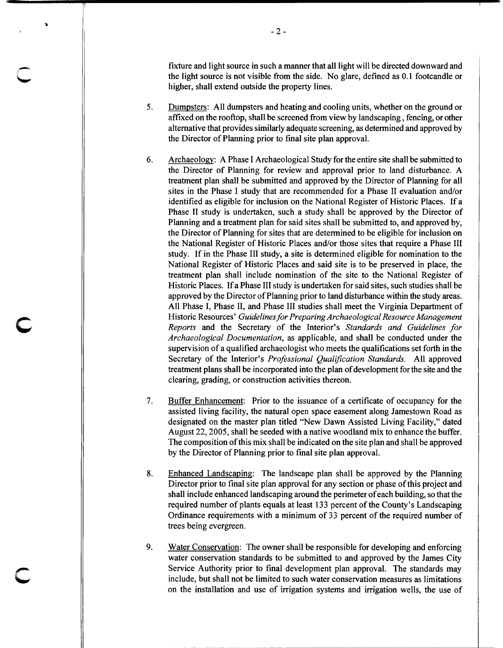fixture and light source in such a manner that all light will be directed downward and the light source is not visible from the side. No glare, defined as 0.1 footcandle or higher, shall extend outside the property lines.

- 5. Dumpsters: All dumpsters and heating and cooling units, whether on the ground or affixed on the rooftop, shall be screened from view by landscaping , fencing, or other alternative that provides similarly adequate screening, as determined and approved by the Director of Planning prior to final site plan approval.
- 6. Archaeology: A Phase I Archaeological Study for the entire site shall be submitted to the Director of Planning for review and approval prior to land disturbance. A treatment plan shall be submitted and approved by the Director of Planning for all sites in the Phase I study that are recommended for a Phase II evaluation and/or identified as eligible for inclusion on the National Register of Historic Places. If a Phase II study is undertaken, such a study shall be approved by the Director of Planning and a treatment plan for said sites shall be submitted to, and approved by, the Director of Planning for sites that are determined to be eligible for inclusion on the National Register of Historic Places and/or those sites that require a Phase III study. If in the Phase III study, a site is determined eligible for nomination to the National Register of Historic Places and said site is to be preserved in place, the treatment plan shall include nomination of the site to the National Register of Historic Places. If a Phase III study is undertaken for said sites, such studies shall be approved by the Director ofPlanning prior to land disturbance within the study areas. All Phase I, Phase II, and Phase III studies shall meet the Virginia Department of Historic Resources' *Guidelines for Preparing Archaeological Resource Management Reports* and the Secretary of the Interior's *Standards and Guidelines for Archaeological Documentation,* as applicable, and shall be conducted under the supervision of a qualified archaeologist who meets the qualifications set forth in the Secretary of the Interior's *Professional Qualification Standards.* All approved treatment plans shall be incorporated into the plan of development for the site and the clearing, grading, or construction activities thereon.

c

c

- 7. Buffer Enhancement: Prior to the issuance of a certificate of occupancy for the assisted living facility, the natural open space easement along Jamestown Road as designated on the master plan titled "New Dawn Assisted Living Facility," dated August 22, 2005, shall be seeded with a native woodland mix to enhance the buffer. The composition of this mix shall be indicated on the site plan and shall be approved by the Director of Planning prior to final site plan approval.
- 8. Enhanced Landscaping: The landscape plan shall be approved by the Planning Director prior to final site plan approval for any section or phase of this project and shall include enhanced landscaping around the perimeter of each building, so that the required number of plants equals at least 133 percent of the County's Landscaping Ordinance requirements with a minimum of 33 percent of the required number of trees being evergreen.
- 9. Water Conservation: The owner shall be responsible for developing and enforcing water conservation standards to be submitted to and approved by the James City Service Authority prior to final development plan approval. The standards may include, but shall not be limited to such water conservation measures as limitations on the installation and use of irrigation systems and irrigation wells, the use of